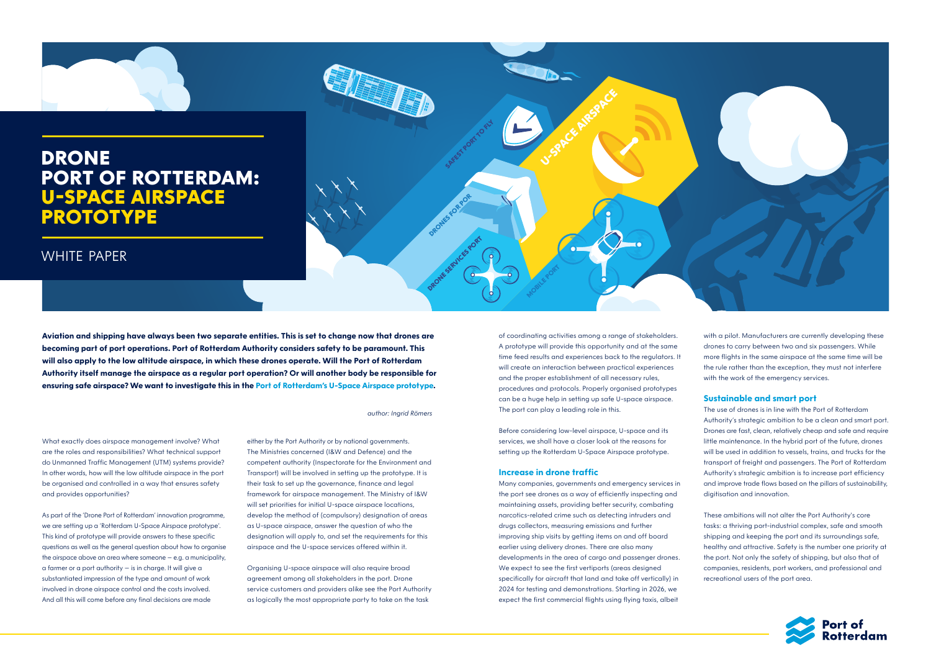*author: Ingrid Römers*

**SAFEST PORT TO FLY** 

**DRONES FOR POR** 

**DRONESERVICES PORT** 

**Aviation and shipping have always been two separate entities. This is set to change now that drones are becoming part of port operations. Port of Rotterdam Authority considers safety to be paramount. This will also apply to the low altitude airspace, in which these drones operate. Will the Port of Rotterdam Authority itself manage the airspace as a regular port operation? Or will another body be responsible for ensuring safe airspace? We want to investigate this in the Port of Rotterdam's U-Space Airspace prototype.** 

What exactly does airspace management involve? What are the roles and responsibilities? What technical support do Unmanned Traffic Management (UTM) systems provide? In other words, how will the low altitude airspace in the port be organised and controlled in a way that ensures safety and provides opportunities?

As part of the 'Drone Port of Rotterdam' innovation programme, we are setting up a 'Rotterdam U-Space Airspace prototype'. This kind of prototype will provide answers to these specific questions as well as the general question about how to organise the airspace above an area where someone – e.g. a municipality, a farmer or a port authority – is in charge. It will give a substantiated impression of the type and amount of work involved in drone airspace control and the costs involved. And all this will come before any final decisions are made

either by the Port Authority or by national governments. The Ministries concerned (I&W and Defence) and the competent authority (Inspectorate for the Environment and Transport) will be involved in setting up the prototype. It is their task to set up the governance, finance and legal framework for airspace management. The Ministry of I&W will set priorities for initial U-space airspace locations, develop the method of (compulsory) designation of areas as U-space airspace, answer the question of who the designation will apply to, and set the requirements for this airspace and the U-space services offered within it.

Organising U-space airspace will also require broad agreement among all stakeholders in the port. Drone service customers and providers alike see the Port Authority as logically the most appropriate party to take on the task

of coordinating activities among a range of stakeholders. A prototype will provide this opportunity and at the same time feed results and experiences back to the regulators. It will create an interaction between practical experiences and the proper establishment of all necessary rules, procedures and protocols. Properly organised prototypes can be a huge help in setting up safe U-space airspace. The port can play a leading role in this.

U-SPACE AN<sup>RESPACE</sup>

Before considering low-level airspace, U-space and its services, we shall have a closer look at the reasons for setting up the Rotterdam U-Space Airspace prototype.

#### **Increase in drone traffic**

**MOBILE PORT** 

Many companies, governments and emergency services in the port see drones as a way of efficiently inspecting and maintaining assets, providing better security, combating narcotics-related crime such as detecting intruders and drugs collectors, measuring emissions and further improving ship visits by getting items on and off board earlier using delivery drones. There are also many developments in the area of cargo and passenger drones. We expect to see the first vertiports (areas designed specifically for aircraft that land and take off vertically) in 2024 for testing and demonstrations. Starting in 2026, we expect the first commercial flights using flying taxis, albeit



with a pilot. Manufacturers are currently developing these drones to carry between two and six passengers. While more flights in the same airspace at the same time will be the rule rather than the exception, they must not interfere with the work of the emergency services.

## **Sustainable and smart port**

The use of drones is in line with the Port of Rotterdam Authority's strategic ambition to be a clean and smart port. Drones are fast, clean, relatively cheap and safe and require little maintenance. In the hybrid port of the future, drones will be used in addition to vessels, trains, and trucks for the transport of freight and passengers. The Port of Rotterdam Authority's strategic ambition is to increase port efficiency and improve trade flows based on the pillars of sustainability, digitisation and innovation.

These ambitions will not alter the Port Authority's core tasks: a thriving port-industrial complex, safe and smooth shipping and keeping the port and its surroundings safe, healthy and attractive. Safety is the number one priority at the port. Not only the safety of shipping, but also that of companies, residents, port workers, and professional and recreational users of the port area.



# **DRONE PORT OF ROTTERDAM: U-SPACE AIRSPACE PROTOTYPE**

## WHITE PAPER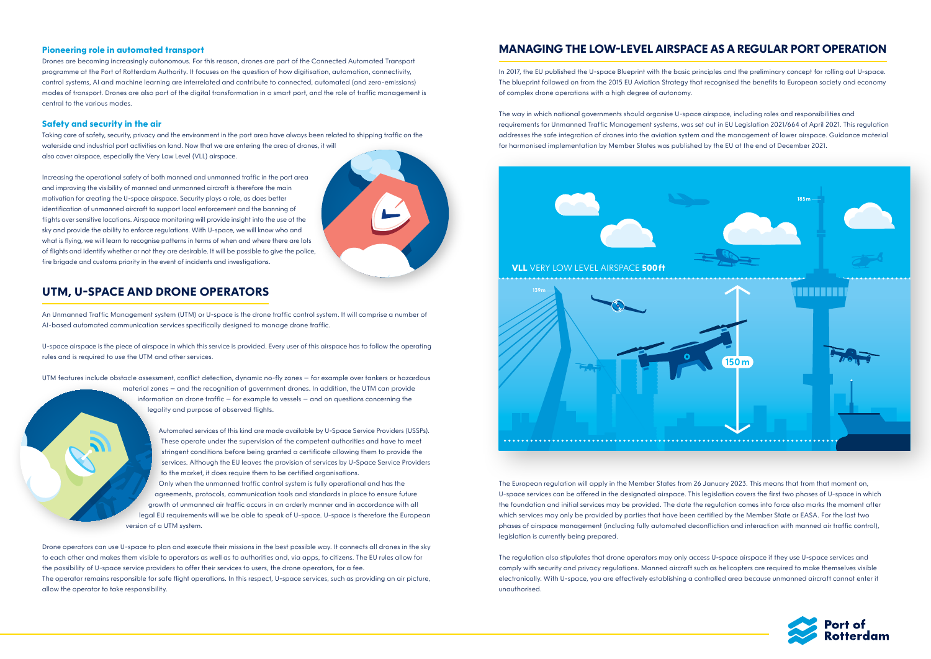

### **Pioneering role in automated transport**

Drones are becoming increasingly autonomous. For this reason, drones are part of the Connected Automated Transport programme at the Port of Rotterdam Authority. It focuses on the question of how digitisation, automation, connectivity, control systems, AI and machine learning are interrelated and contribute to connected, automated (and zero-emissions) modes of transport. Drones are also part of the digital transformation in a smart port, and the role of traffic management is central to the various modes.

### **Safety and security in the air**

Taking care of safety, security, privacy and the environment in the port area have always been related to shipping traffic on the waterside and industrial port activities on land. Now that we are entering the area of drones, it will also cover airspace, especially the Very Low Level (VLL) airspace.

Increasing the operational safety of both manned and unmanned traffic in the port area and improving the visibility of manned and unmanned aircraft is therefore the main motivation for creating the U-space airspace. Security plays a role, as does better identification of unmanned aircraft to support local enforcement and the banning of flights over sensitive locations. Airspace monitoring will provide insight into the use of the sky and provide the ability to enforce regulations. With U-space, we will know who and what is flying, we will learn to recognise patterns in terms of when and where there are lots of flights and identify whether or not they are desirable. It will be possible to give the police, fire brigade and customs priority in the event of incidents and investigations.

## **UTM, U-SPACE AND DRONE OPERATORS**

An Unmanned Traffic Management system (UTM) or U-space is the drone traffic control system. It will comprise a number of AI-based automated communication services specifically designed to manage drone traffic.

U-space airspace is the piece of airspace in which this service is provided. Every user of this airspace has to follow the operating rules and is required to use the UTM and other services.

UTM features include obstacle assessment, conflict detection, dynamic no-fly zones – for example over tankers or hazardous material zones – and the recognition of government drones. In addition, the UTM can provide information on drone traffic – for example to vessels – and on questions concerning the legality and purpose of observed flights.

> Automated services of this kind are made available by U-Space Service Providers (USSPs). These operate under the supervision of the competent authorities and have to meet stringent conditions before being granted a certificate allowing them to provide the services. Although the EU leaves the provision of services by U-Space Service Providers to the market, it does require them to be certified organisations.

Only when the unmanned traffic control system is fully operational and has the agreements, protocols, communication tools and standards in place to ensure future growth of unmanned air traffic occurs in an orderly manner and in accordance with all legal EU requirements will we be able to speak of U-space. U-space is therefore the European version of a UTM system.

Drone operators can use U-space to plan and execute their missions in the best possible way. It connects all drones in the sky to each other and makes them visible to operators as well as to authorities and, via apps, to citizens. The EU rules allow for the possibility of U-space service providers to offer their services to users, the drone operators, for a fee. The operator remains responsible for safe flight operations. In this respect, U-space services, such as providing an air picture, allow the operator to take responsibility.

## **MANAGING THE LOW-LEVEL AIRSPACE AS A REGULAR PORT OPERATION**

In 2017, the EU published the U-space Blueprint with the basic principles and the preliminary concept for rolling out U-space. The blueprint followed on from the 2015 EU Aviation Strategy that recognised the benefits to European society and economy of complex drone operations with a high degree of autonomy.

The way in which national governments should organise U-space airspace, including roles and responsibilities and requirements for Unmanned Traffic Management systems, was set out in EU Legislation 2021/664 of April 2021. This regulation addresses the safe integration of drones into the aviation system and the management of lower airspace. Guidance material for harmonised implementation by Member States was published by the EU at the end of December 2021.

The European regulation will apply in the Member States from 26 January 2023. This means that from that moment on, U-space services can be offered in the designated airspace. This legislation covers the first two phases of U-space in which the foundation and initial services may be provided. The date the regulation comes into force also marks the moment after which services may only be provided by parties that have been certified by the Member State or EASA. For the last two phases of airspace management (including fully automated deconfliction and interaction with manned air traffic control), legislation is currently being prepared.

The regulation also stipulates that drone operators may only access U-space airspace if they use U-space services and comply with security and privacy regulations. Manned aircraft such as helicopters are required to make themselves visible electronically. With U-space, you are effectively establishing a controlled area because unmanned aircraft cannot enter it unauthorised.